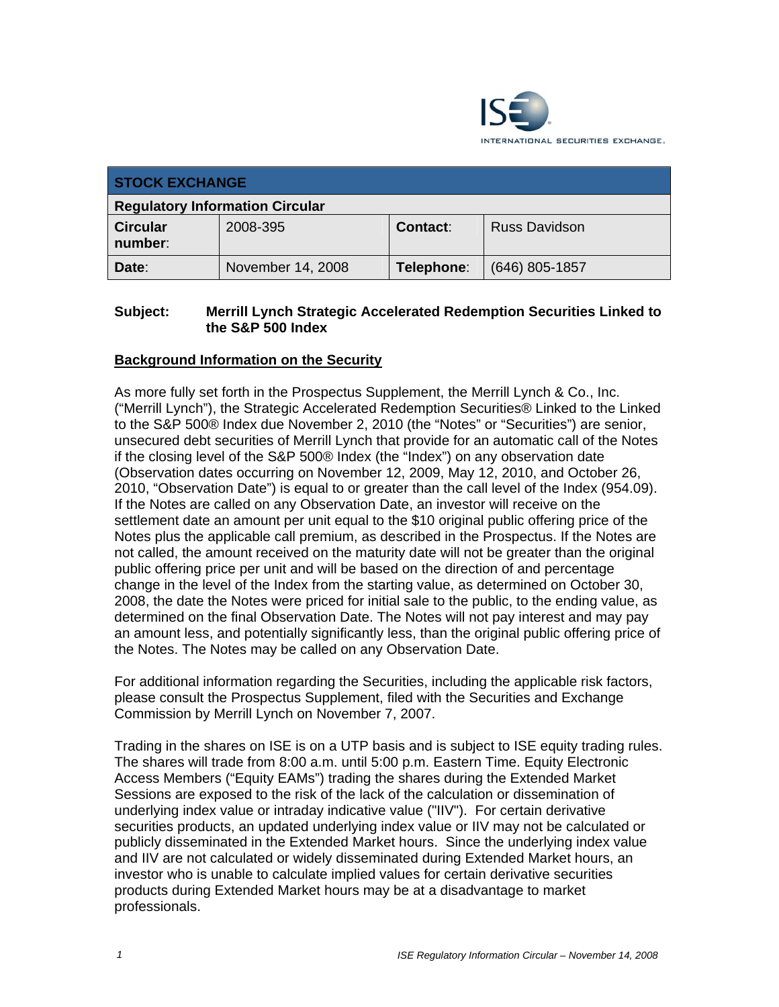

| <b>STOCK EXCHANGE</b>                  |                   |                 |                      |
|----------------------------------------|-------------------|-----------------|----------------------|
| <b>Regulatory Information Circular</b> |                   |                 |                      |
| <b>Circular</b><br>number:             | 2008-395          | <b>Contact:</b> | <b>Russ Davidson</b> |
| Date:                                  | November 14, 2008 | Telephone:      | $(646)$ 805-1857     |

## **Subject: Merrill Lynch Strategic Accelerated Redemption Securities Linked to the S&P 500 Index**

## **Background Information on the Security**

As more fully set forth in the Prospectus Supplement, the Merrill Lynch & Co., Inc. ("Merrill Lynch"), the Strategic Accelerated Redemption Securities® Linked to the Linked to the S&P 500® Index due November 2, 2010 (the "Notes" or "Securities") are senior, unsecured debt securities of Merrill Lynch that provide for an automatic call of the Notes if the closing level of the S&P 500® Index (the "Index") on any observation date (Observation dates occurring on November 12, 2009, May 12, 2010, and October 26, 2010, "Observation Date") is equal to or greater than the call level of the Index (954.09). If the Notes are called on any Observation Date, an investor will receive on the settlement date an amount per unit equal to the \$10 original public offering price of the Notes plus the applicable call premium, as described in the Prospectus. If the Notes are not called, the amount received on the maturity date will not be greater than the original public offering price per unit and will be based on the direction of and percentage change in the level of the Index from the starting value, as determined on October 30, 2008, the date the Notes were priced for initial sale to the public, to the ending value, as determined on the final Observation Date. The Notes will not pay interest and may pay an amount less, and potentially significantly less, than the original public offering price of the Notes. The Notes may be called on any Observation Date.

For additional information regarding the Securities, including the applicable risk factors, please consult the Prospectus Supplement, filed with the Securities and Exchange Commission by Merrill Lynch on November 7, 2007.

Trading in the shares on ISE is on a UTP basis and is subject to ISE equity trading rules. The shares will trade from 8:00 a.m. until 5:00 p.m. Eastern Time. Equity Electronic Access Members ("Equity EAMs") trading the shares during the Extended Market Sessions are exposed to the risk of the lack of the calculation or dissemination of underlying index value or intraday indicative value ("IIV"). For certain derivative securities products, an updated underlying index value or IIV may not be calculated or publicly disseminated in the Extended Market hours. Since the underlying index value and IIV are not calculated or widely disseminated during Extended Market hours, an investor who is unable to calculate implied values for certain derivative securities products during Extended Market hours may be at a disadvantage to market professionals.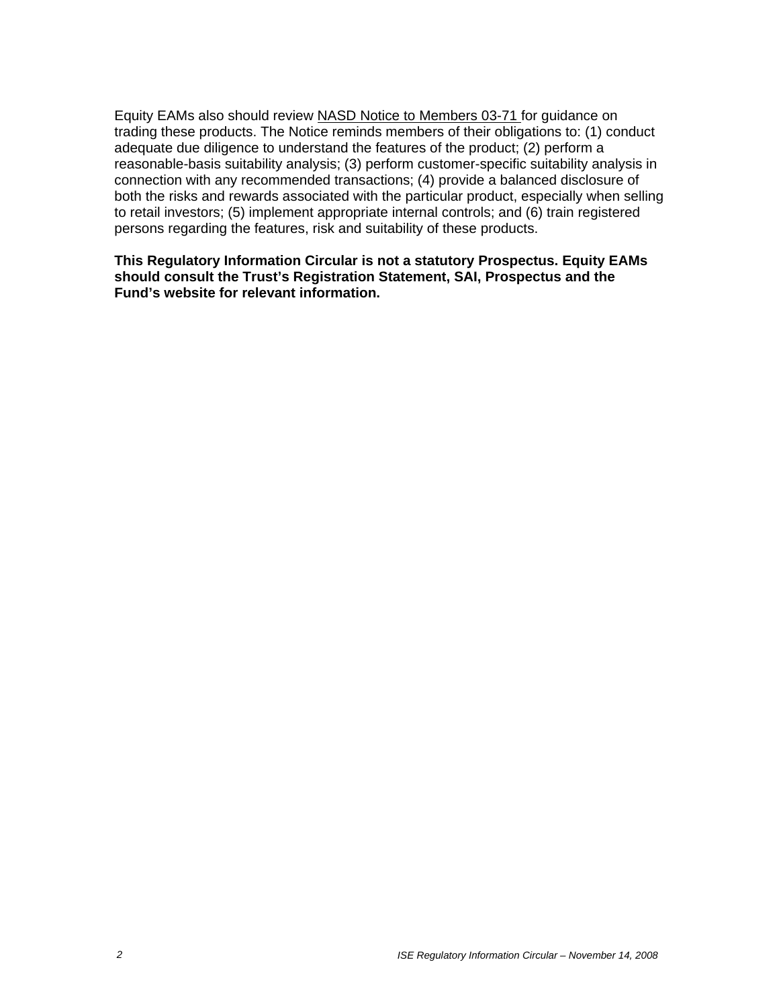Equity EAMs also should review NASD Notice to Members 03-71 for guidance on trading these products. The Notice reminds members of their obligations to: (1) conduct adequate due diligence to understand the features of the product; (2) perform a reasonable-basis suitability analysis; (3) perform customer-specific suitability analysis in connection with any recommended transactions; (4) provide a balanced disclosure of both the risks and rewards associated with the particular product, especially when selling to retail investors; (5) implement appropriate internal controls; and (6) train registered persons regarding the features, risk and suitability of these products.

**This Regulatory Information Circular is not a statutory Prospectus. Equity EAMs should consult the Trust's Registration Statement, SAI, Prospectus and the Fund's website for relevant information.**